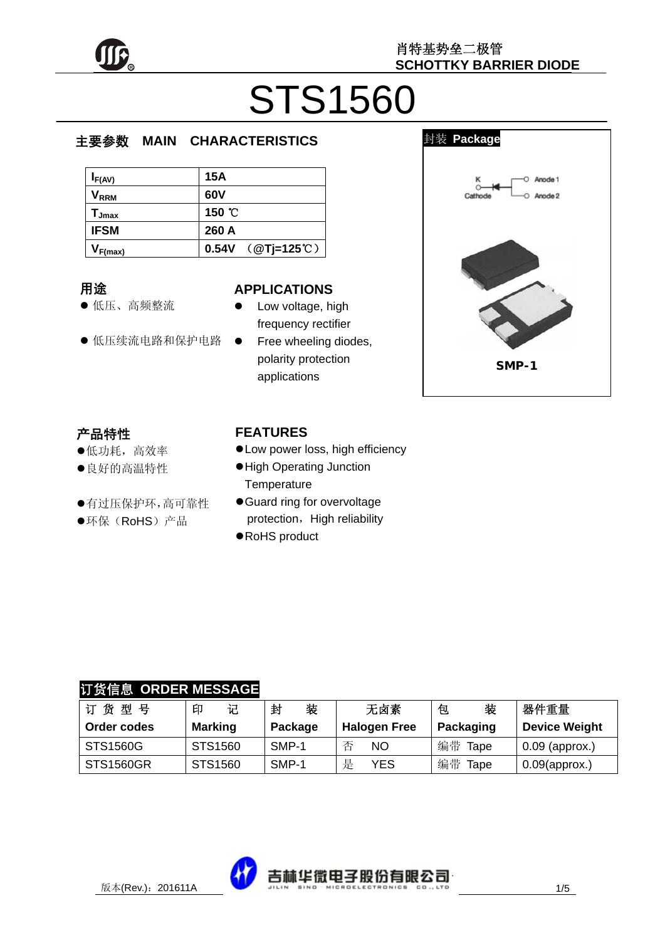

# STS1560

#### $\overline{\phantom{a}}$ 主要参数 **MAIN CHARACTERISTICS**

| $I_{F(AV)}$                  | 15A                   |
|------------------------------|-----------------------|
| $\mathsf{V}_{\mathsf{RRM}}$  | 60V                   |
| $\mathsf{T}_{\mathsf{Jmax}}$ | 150 °C                |
| <b>IFSM</b>                  | 260 A                 |
| $V_{F(max)}$                 | 0.54V ( $@Tj=125°C$ ) |

#### 用途

- 低压、高频整流
- 低压续流电路和保护电路

#### **APPLICATIONS**

- Low voltage, high frequency rectifier
- Free wheeling diodes, polarity protection applications

#### 封装 **Package**

 $\overline{\phantom{a}}$ 



## 产品特性

- z低功耗,高效率
- z良好的高温特性
- z有过压保护环,高可靠性
- ●环保(RoHS)产品

#### **FEATURES**

- $\bullet$  Low power loss, high efficiency
- $\bullet$  High Operating Junction **Temperature**
- **Guard ring for overvoltage** protection, High reliability
- RoHS product

## 订货信息 **ORDER MESSAGE**

| 订货型号        | 记<br>印         | 装<br>封  | 无卤素                 | 装<br>包     | 器件重量                 |
|-------------|----------------|---------|---------------------|------------|----------------------|
| Order codes | <b>Marking</b> | Package | <b>Halogen Free</b> | Packaging  | <b>Device Weight</b> |
| STS1560G    | STS1560        | SMP-1   | <b>NO</b>           | 编带<br>Tape | $0.09$ (approx.)     |
| STS1560GR   | STS1560        | SMP-1   | 是<br>YES            | 编带<br>Tape | $0.09$ (approx.)     |

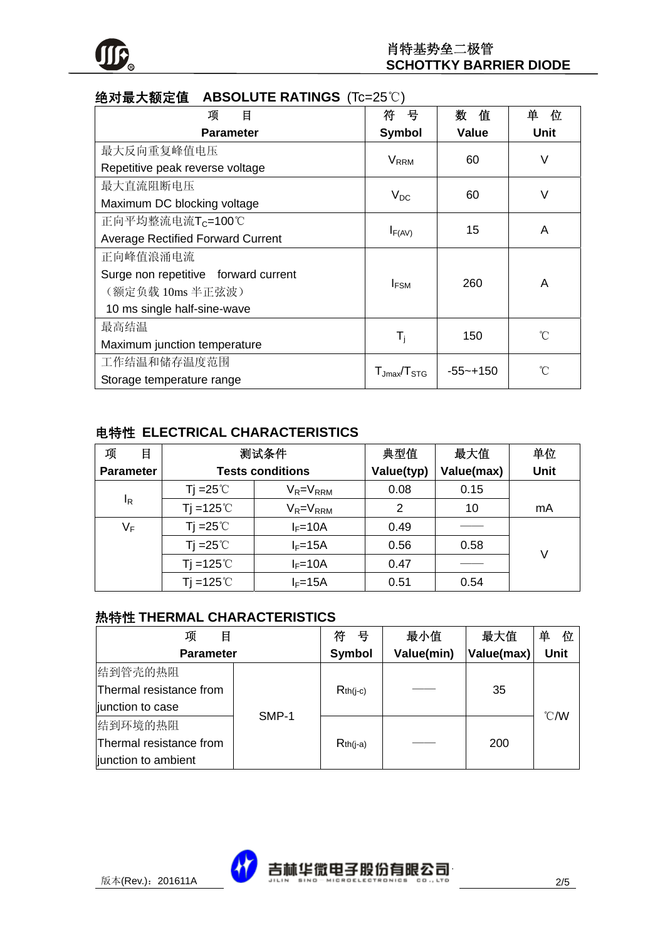

| <b>地刈取入视</b> 但<br><b>ADOULU I E RATINGO</b> (IC=20 U) |                         |              |             |  |
|-------------------------------------------------------|-------------------------|--------------|-------------|--|
| 目<br>项                                                | 븅<br>符                  | 数<br>值       | 单<br>位      |  |
| <b>Parameter</b>                                      | <b>Symbol</b>           | <b>Value</b> | <b>Unit</b> |  |
| 最大反向重复峰值电压                                            |                         |              |             |  |
| Repetitive peak reverse voltage                       | <b>V</b> <sub>RRM</sub> | 60           | V           |  |
| 最大直流阻断电压                                              |                         | 60           | V           |  |
| Maximum DC blocking voltage                           | $V_{DC}$                |              |             |  |
| 正向平均整流电流T <sub>C</sub> =100℃                          | $I_{F(AV)}$             | 15           | A           |  |
| <b>Average Rectified Forward Current</b>              |                         |              |             |  |
| 正向峰值浪涌电流                                              |                         |              |             |  |
| Surge non repetitive forward current                  | <b>I</b> <sub>FSM</sub> | 260          | A           |  |
| (额定负载 10ms 半正弦波)                                      |                         |              |             |  |
| 10 ms single half-sine-wave                           |                         |              |             |  |
| 最高结温                                                  |                         |              | °C          |  |
| Maximum junction temperature                          | $T_{\rm j}$             | 150          |             |  |
| 工作结温和储存温度范围                                           | $T_{Jmax}/T_{STG}$      |              | °C          |  |
| Storage temperature range                             |                         | $-55 - +150$ |             |  |

### **绝对是土额空值 ABSOLUTE RATINGS (Tc=25℃)**

### 电特性 **ELECTRICAL CHARACTERISTICS**

| 项<br>目           | 测试条件                    |                 | 典型值        | 最大值        | 单位          |
|------------------|-------------------------|-----------------|------------|------------|-------------|
| <b>Parameter</b> | <b>Tests conditions</b> |                 | Value(typ) | Value(max) | <b>Unit</b> |
|                  | Ti = $25^{\circ}$ C     | $V_R = V_{RRM}$ | 0.08       | 0.15       |             |
| $I_R$            | Tj =125 $°C$            | $V_R = V_{RRM}$ | 2          | 10         | mA          |
| $V_F$            | Ti = $25^{\circ}$ C     | $I_F=10A$       | 0.49       |            |             |
|                  | Ti = $25^{\circ}$ C     | $I_F=15A$       | 0.56       | 0.58       | V           |
|                  | Tj =125 $°C$            | $I_F=10A$       | 0.47       |            |             |
|                  | Ti = $125^\circ$ C      | $I_F = 15A$     | 0.51       | 0.54       |             |

#### 热特性 **THERMAL CHARACTERISTICS**

| 项<br>目                  |       | 号<br>符        | 最小值        | 最大值        | 单<br>位         |
|-------------------------|-------|---------------|------------|------------|----------------|
| <b>Parameter</b>        |       | <b>Symbol</b> | Value(min) | Value(max) | <b>Unit</b>    |
| 结到管壳的热阻                 |       |               |            |            |                |
| Thermal resistance from |       | $Rth(i-c)$    |            | 35         |                |
| junction to case        | SMP-1 |               |            |            | $^{\circ}$ C/W |
| 结到环境的热阻                 |       |               |            |            |                |
| Thermal resistance from |       | $Rth(i-a)$    |            | 200        |                |
| junction to ambient     |       |               |            |            |                |

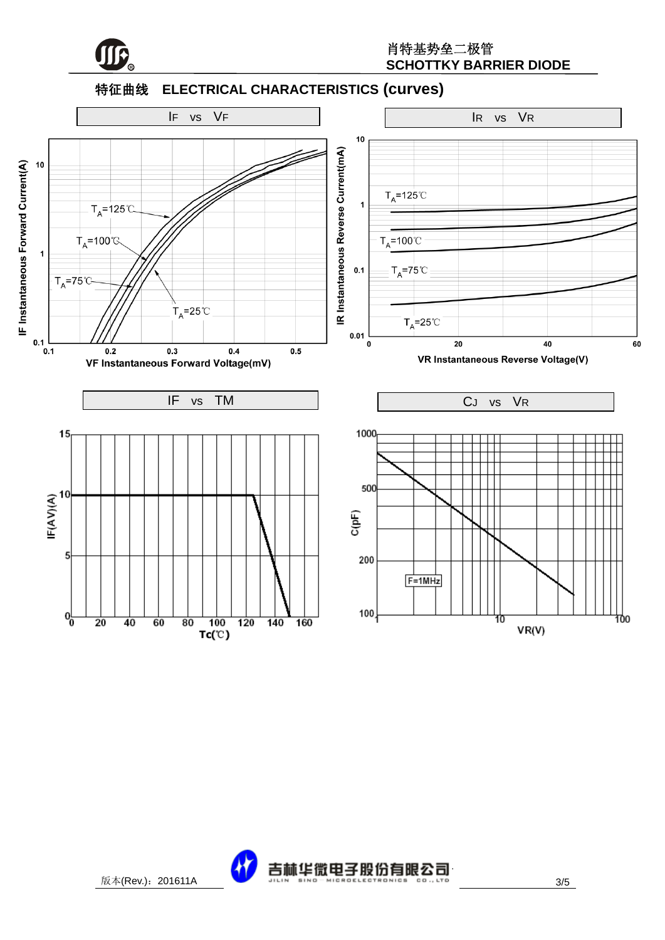

#### 特征曲线 **ELECTRICAL CHARACTERISTICS (curves)**



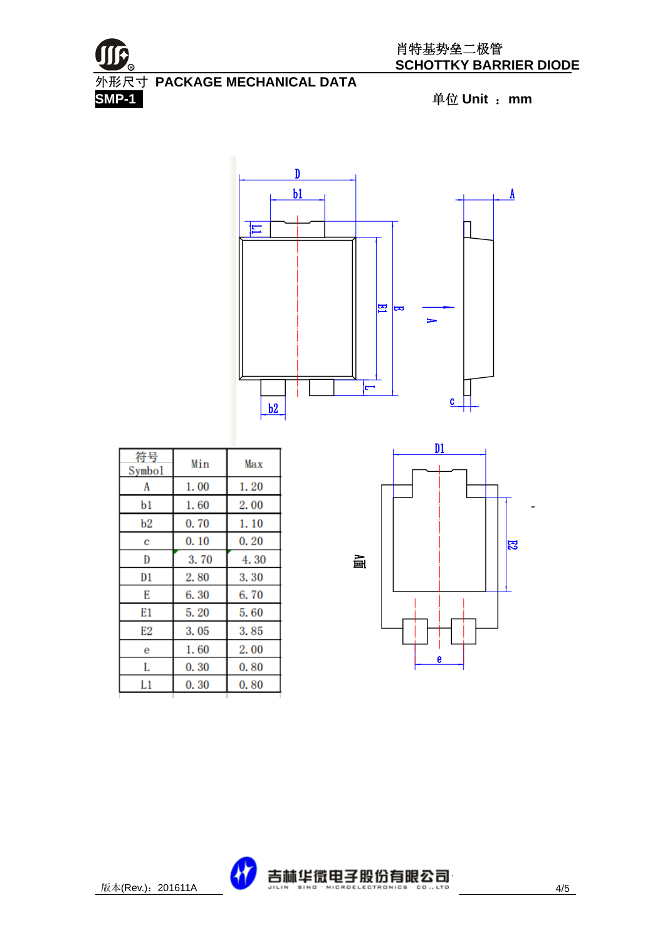



| 符号<br>Symbol | Min  | Max  |
|--------------|------|------|
| A            | 1.00 | 1.20 |
| b1           | 1.60 | 2.00 |
| b2           | 0.70 | 1.10 |
| с            | 0.10 | 0.20 |
| D            | 3.70 | 4.30 |
| D1           | 2.80 | 3.30 |
| E            | 6.30 | 6.70 |
| E1           | 5.20 | 5.60 |
| E2           | 3.05 | 3.85 |
| е            | 1.60 | 2.00 |
| L            | 0.30 | 0.80 |
| L1           | 0.30 | 0.80 |